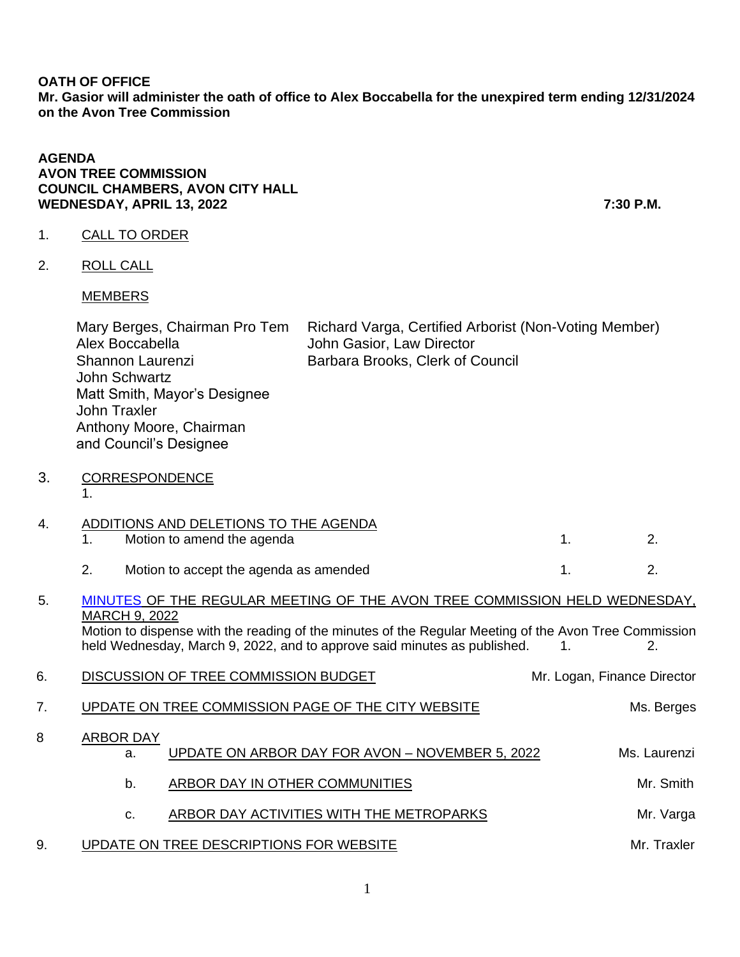### **OATH OF OFFICE Mr. Gasior will administer the oath of office to Alex Boccabella for the unexpired term ending 12/31/2024 on the Avon Tree Commission**

#### **AGENDA AVON TREE COMMISSION COUNCIL CHAMBERS, AVON CITY HALL WEDNESDAY, APRIL 13, 2022 7:30 P.M.**

## 1. CALL TO ORDER

2. ROLL CALL

### MEMBERS

|    | Mary Berges, Chairman Pro Tem<br>Alex Boccabella<br>Shannon Laurenzi<br>John Schwartz<br>Matt Smith, Mayor's Designee<br>John Traxler<br>Anthony Moore, Chairman<br>and Council's Designee | Richard Varga, Certified Arborist (Non-Voting Member)<br>John Gasior, Law Director<br>Barbara Brooks, Clerk of Council |    |    |
|----|--------------------------------------------------------------------------------------------------------------------------------------------------------------------------------------------|------------------------------------------------------------------------------------------------------------------------|----|----|
| 3. | <b>CORRESPONDENCE</b>                                                                                                                                                                      |                                                                                                                        |    |    |
| 4. | ADDITIONS AND DELETIONS TO THE AGENDA<br>Motion to amend the agenda                                                                                                                        |                                                                                                                        | 1. | 2. |
|    | 2.<br>Motion to accept the agenda as amended                                                                                                                                               |                                                                                                                        |    | 2. |

# 5. [MINUTES](https://www.cityofavon.com/AgendaCenter/ViewFile/Minutes/_03092022-1072) OF THE REGULAR MEETING OF THE AVON TREE COMMISSION HELD WEDNESDAY, MARCH 9, 2022

Motion to dispense with the reading of the minutes of the Regular Meeting of the Avon Tree Commission held Wednesday, March 9, 2022, and to approve said minutes as published.  $1.$  1.  $2.$ 

| 6. |                        | DISCUSSION OF TREE COMMISSION BUDGET               | Mr. Logan, Finance Director |
|----|------------------------|----------------------------------------------------|-----------------------------|
| 7. |                        | UPDATE ON TREE COMMISSION PAGE OF THE CITY WEBSITE | Ms. Berges                  |
| 8  | <b>ARBOR DAY</b><br>a. | UPDATE ON ARBOR DAY FOR AVON - NOVEMBER 5, 2022    | Ms. Laurenzi                |
|    | b.                     | ARBOR DAY IN OTHER COMMUNITIES                     | Mr. Smith                   |
|    | c.                     | ARBOR DAY ACTIVITIES WITH THE METROPARKS           | Mr. Varga                   |
| 9  |                        | UPDATE ON TREE DESCRIPTIONS FOR WEBSITE            | Mr. Traxler                 |